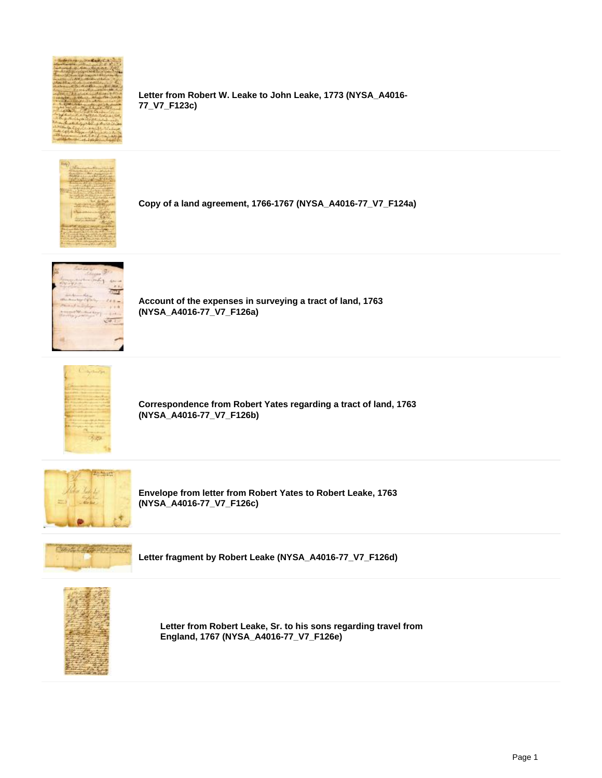

**Letter from Robert W. Leake to John Leake, 1773 (NYSA\_A4016- 77\_V7\_F123c)**



**Copy of a land agreement, 1766-1767 (NYSA\_A4016-77\_V7\_F124a)**



**Account of the expenses in surveying a tract of land, 1763 (NYSA\_A4016-77\_V7\_F126a)**



**Correspondence from Robert Yates regarding a tract of land, 1763 (NYSA\_A4016-77\_V7\_F126b)**



**Envelope from letter from Robert Yates to Robert Leake, 1763 (NYSA\_A4016-77\_V7\_F126c)**



**Letter fragment by Robert Leake (NYSA\_A4016-77\_V7\_F126d)**



**Letter from Robert Leake, Sr. to his sons regarding travel from England, 1767 (NYSA\_A4016-77\_V7\_F126e)**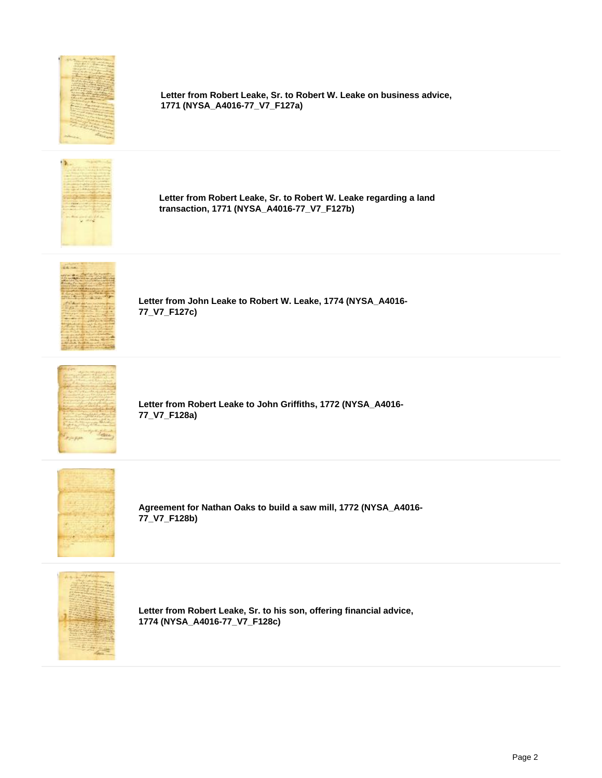

**Letter from Robert Leake, Sr. to Robert W. Leake on business advice, 1771 (NYSA\_A4016-77\_V7\_F127a)**



**Letter from Robert Leake, Sr. to Robert W. Leake regarding a land transaction, 1771 (NYSA\_A4016-77\_V7\_F127b)**



**Letter from John Leake to Robert W. Leake, 1774 (NYSA\_A4016- 77\_V7\_F127c)**



**Letter from Robert Leake to John Griffiths, 1772 (NYSA\_A4016- 77\_V7\_F128a)**



**Agreement for Nathan Oaks to build a saw mill, 1772 (NYSA\_A4016- 77\_V7\_F128b)**



**Letter from Robert Leake, Sr. to his son, offering financial advice, 1774 (NYSA\_A4016-77\_V7\_F128c)**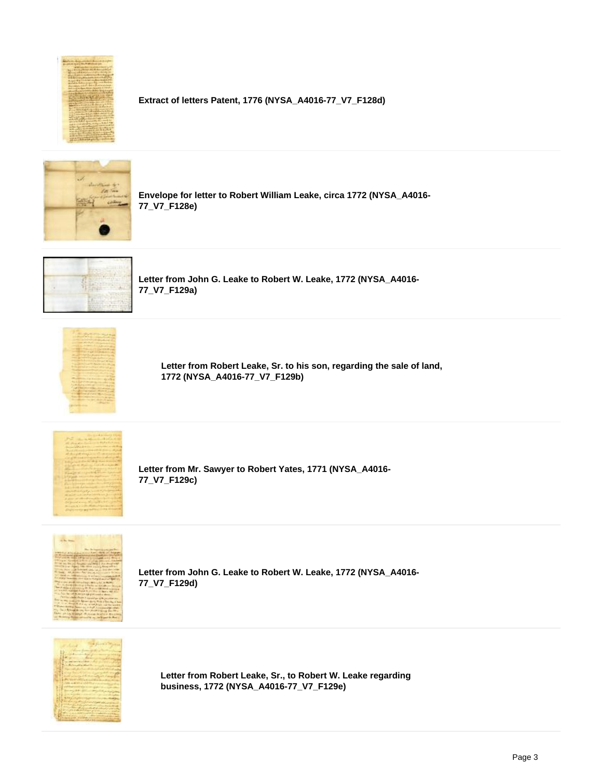

**Extract of letters Patent, 1776 (NYSA\_A4016-77\_V7\_F128d)**



**Envelope for letter to Robert William Leake, circa 1772 (NYSA\_A4016- 77\_V7\_F128e)**



**Letter from John G. Leake to Robert W. Leake, 1772 (NYSA\_A4016- 77\_V7\_F129a)**



**Letter from Robert Leake, Sr. to his son, regarding the sale of land, 1772 (NYSA\_A4016-77\_V7\_F129b)**



**Letter from Mr. Sawyer to Robert Yates, 1771 (NYSA\_A4016- 77\_V7\_F129c)**



**Letter from John G. Leake to Robert W. Leake, 1772 (NYSA\_A4016- 77\_V7\_F129d)**



**Letter from Robert Leake, Sr., to Robert W. Leake regarding business, 1772 (NYSA\_A4016-77\_V7\_F129e)**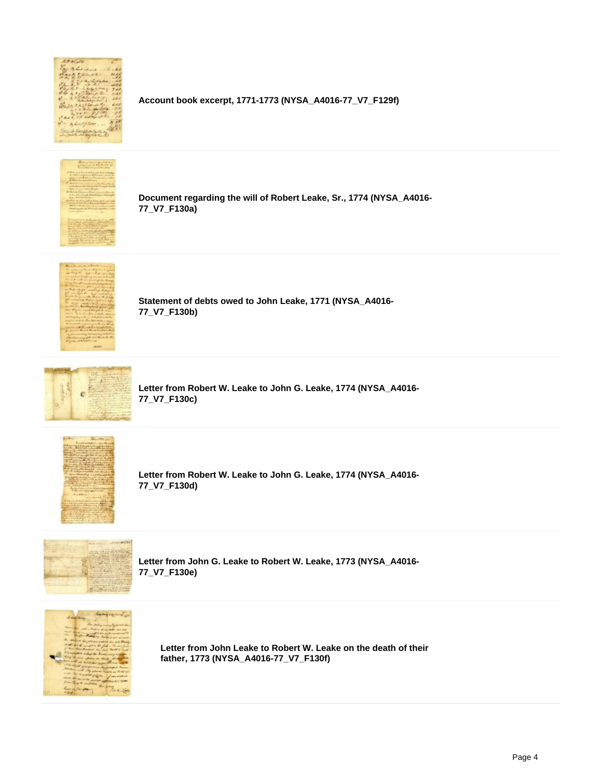

**Account book excerpt, 1771-1773 (NYSA\_A4016-77\_V7\_F129f)**



**Document regarding the will of Robert Leake, Sr., 1774 (NYSA\_A4016- 77\_V7\_F130a)**



**Statement of debts owed to John Leake, 1771 (NYSA\_A4016- 77\_V7\_F130b)**



**Letter from Robert W. Leake to John G. Leake, 1774 (NYSA\_A4016- 77\_V7\_F130c)**



**Letter from Robert W. Leake to John G. Leake, 1774 (NYSA\_A4016- 77\_V7\_F130d)**



**Letter from John G. Leake to Robert W. Leake, 1773 (NYSA\_A4016- 77\_V7\_F130e)**



**Letter from John Leake to Robert W. Leake on the death of their father, 1773 (NYSA\_A4016-77\_V7\_F130f)**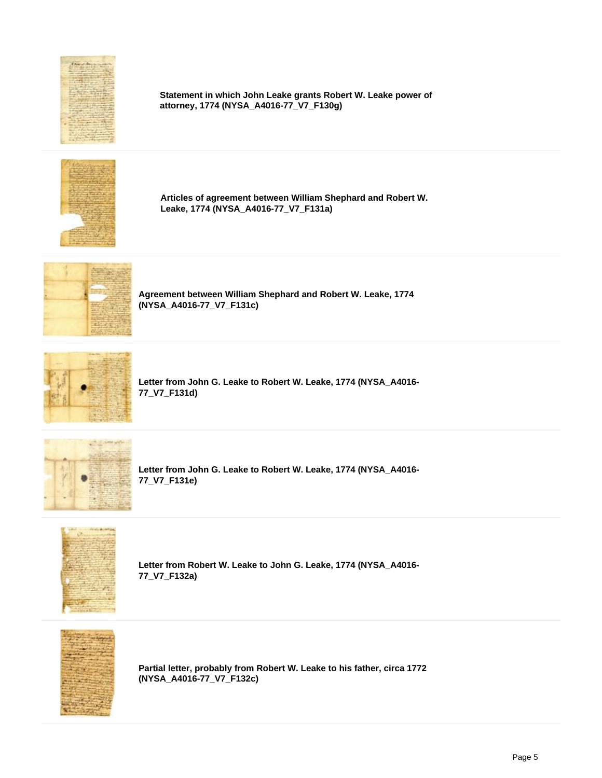

**Statement in which John Leake grants Robert W. Leake power of attorney, 1774 (NYSA\_A4016-77\_V7\_F130g)**



**Articles of agreement between William Shephard and Robert W. Leake, 1774 (NYSA\_A4016-77\_V7\_F131a)**



**Agreement between William Shephard and Robert W. Leake, 1774 (NYSA\_A4016-77\_V7\_F131c)**



**Letter from John G. Leake to Robert W. Leake, 1774 (NYSA\_A4016- 77\_V7\_F131d)**



**Letter from John G. Leake to Robert W. Leake, 1774 (NYSA\_A4016- 77\_V7\_F131e)**



**Letter from Robert W. Leake to John G. Leake, 1774 (NYSA\_A4016- 77\_V7\_F132a)**



**Partial letter, probably from Robert W. Leake to his father, circa 1772 (NYSA\_A4016-77\_V7\_F132c)**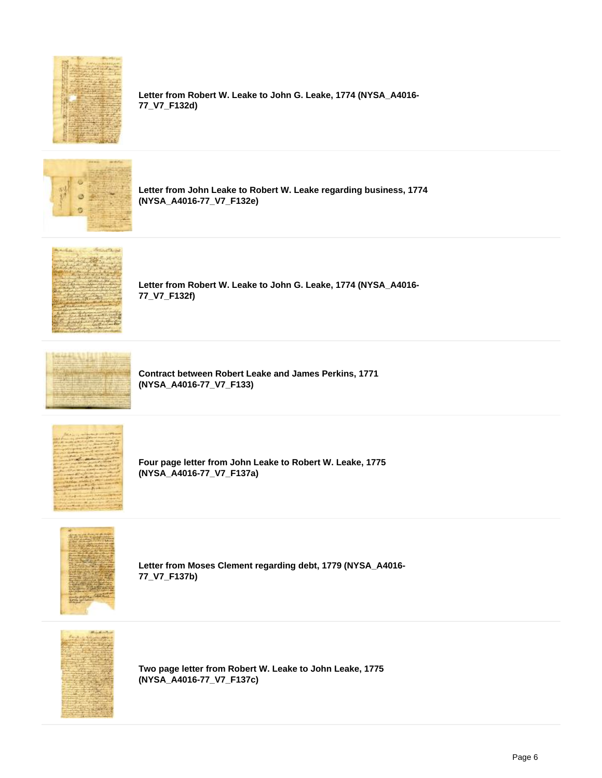

**Letter from Robert W. Leake to John G. Leake, 1774 (NYSA\_A4016- 77\_V7\_F132d)**



**Letter from John Leake to Robert W. Leake regarding business, 1774 (NYSA\_A4016-77\_V7\_F132e)**



**Letter from Robert W. Leake to John G. Leake, 1774 (NYSA\_A4016- 77\_V7\_F132f)**



**Contract between Robert Leake and James Perkins, 1771 (NYSA\_A4016-77\_V7\_F133)**



**Four page letter from John Leake to Robert W. Leake, 1775 (NYSA\_A4016-77\_V7\_F137a)**



**Letter from Moses Clement regarding debt, 1779 (NYSA\_A4016- 77\_V7\_F137b)**



**Two page letter from Robert W. Leake to John Leake, 1775 (NYSA\_A4016-77\_V7\_F137c)**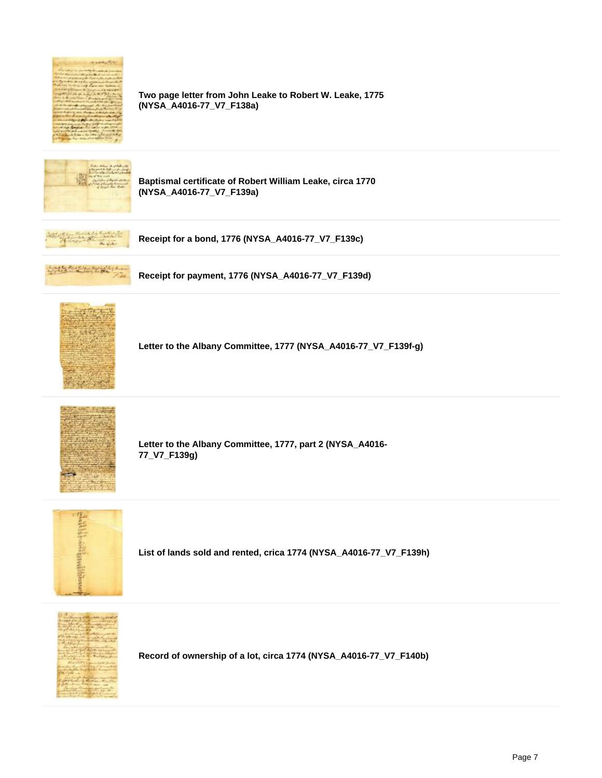

**Two page letter from John Leake to Robert W. Leake, 1775 (NYSA\_A4016-77\_V7\_F138a)**



**Baptismal certificate of Robert William Leake, circa 1770 (NYSA\_A4016-77\_V7\_F139a)**



**Receipt for a bond, 1776 (NYSA\_A4016-77\_V7\_F139c)**



**Receipt for payment, 1776 (NYSA\_A4016-77\_V7\_F139d)**



**Letter to the Albany Committee, 1777 (NYSA\_A4016-77\_V7\_F139f-g)**



**Letter to the Albany Committee, 1777, part 2 (NYSA\_A4016- 77\_V7\_F139g)**



**List of lands sold and rented, crica 1774 (NYSA\_A4016-77\_V7\_F139h)**



**Record of ownership of a lot, circa 1774 (NYSA\_A4016-77\_V7\_F140b)**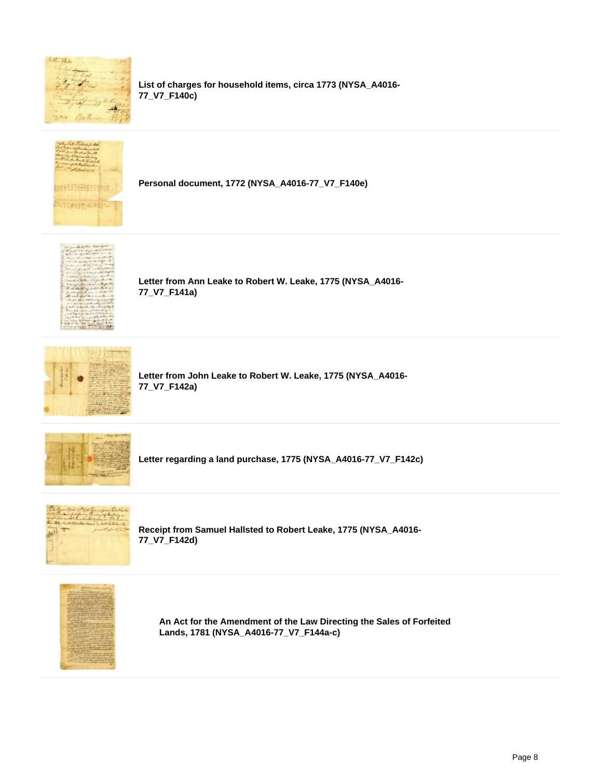

**List of charges for household items, circa 1773 (NYSA\_A4016- 77\_V7\_F140c)**



**Personal document, 1772 (NYSA\_A4016-77\_V7\_F140e)**



**Letter from Ann Leake to Robert W. Leake, 1775 (NYSA\_A4016- 77\_V7\_F141a)**



**Letter from John Leake to Robert W. Leake, 1775 (NYSA\_A4016- 77\_V7\_F142a)**



**Letter regarding a land purchase, 1775 (NYSA\_A4016-77\_V7\_F142c)**



**Receipt from Samuel Hallsted to Robert Leake, 1775 (NYSA\_A4016- 77\_V7\_F142d)**



**An Act for the Amendment of the Law Directing the Sales of Forfeited Lands, 1781 (NYSA\_A4016-77\_V7\_F144a-c)**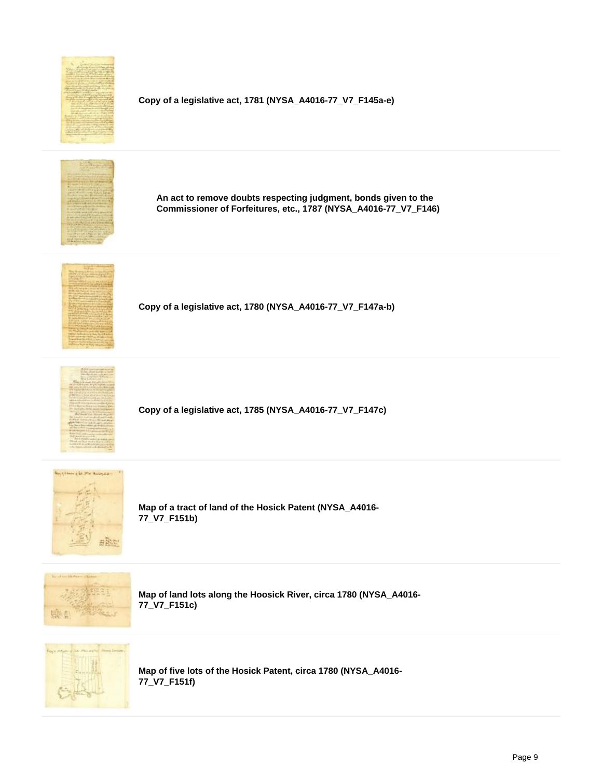

**Copy of a legislative act, 1781 (NYSA\_A4016-77\_V7\_F145a-e)**



**An act to remove doubts respecting judgment, bonds given to the Commissioner of Forfeitures, etc., 1787 (NYSA\_A4016-77\_V7\_F146)**



**Copy of a legislative act, 1780 (NYSA\_A4016-77\_V7\_F147a-b)**



**Copy of a legislative act, 1785 (NYSA\_A4016-77\_V7\_F147c)**



**Map of a tract of land of the Hosick Patent (NYSA\_A4016- 77\_V7\_F151b)**



**Map of land lots along the Hoosick River, circa 1780 (NYSA\_A4016- 77\_V7\_F151c)**



**Map of five lots of the Hosick Patent, circa 1780 (NYSA\_A4016- 77\_V7\_F151f)**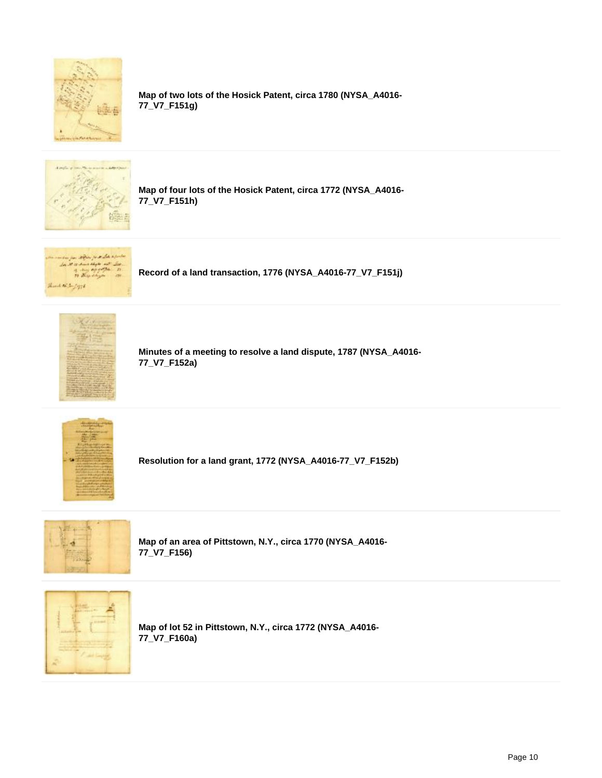

**Map of two lots of the Hosick Patent, circa 1780 (NYSA\_A4016- 77\_V7\_F151g)**



**Map of four lots of the Hosick Patent, circa 1772 (NYSA\_A4016- 77\_V7\_F151h)**



**Record of a land transaction, 1776 (NYSA\_A4016-77\_V7\_F151j)**



**Minutes of a meeting to resolve a land dispute, 1787 (NYSA\_A4016- 77\_V7\_F152a)**



**Resolution for a land grant, 1772 (NYSA\_A4016-77\_V7\_F152b)**



**Map of an area of Pittstown, N.Y., circa 1770 (NYSA\_A4016- 77\_V7\_F156)**



**Map of lot 52 in Pittstown, N.Y., circa 1772 (NYSA\_A4016- 77\_V7\_F160a)**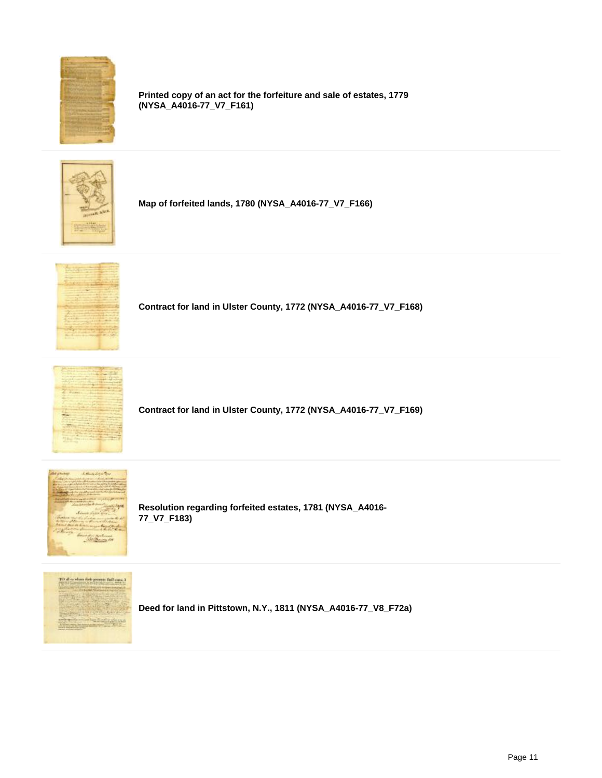

**Printed copy of an act for the forfeiture and sale of estates, 1779 (NYSA\_A4016-77\_V7\_F161)**



**Map of forfeited lands, 1780 (NYSA\_A4016-77\_V7\_F166)**



**Contract for land in Ulster County, 1772 (NYSA\_A4016-77\_V7\_F168)**



**Contract for land in Ulster County, 1772 (NYSA\_A4016-77\_V7\_F169)**



**Resolution regarding forfeited estates, 1781 (NYSA\_A4016- 77\_V7\_F183)**



**Deed for land in Pittstown, N.Y., 1811 (NYSA\_A4016-77\_V8\_F72a)**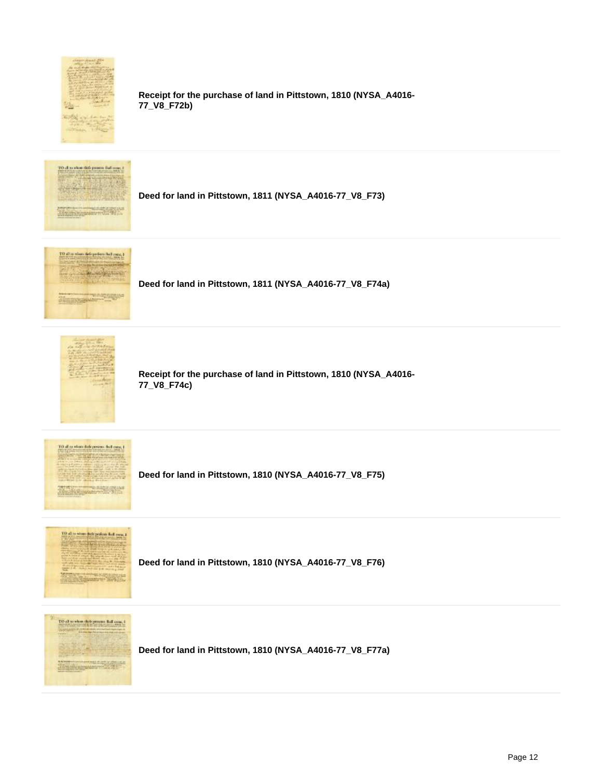

**Receipt for the purchase of land in Pittstown, 1810 (NYSA\_A4016- 77\_V8\_F72b)**



**Deed for land in Pittstown, 1811 (NYSA\_A4016-77\_V8\_F73)**



**Deed for land in Pittstown, 1811 (NYSA\_A4016-77\_V8\_F74a)**



**Receipt for the purchase of land in Pittstown, 1810 (NYSA\_A4016- 77\_V8\_F74c)**



**Deed for land in Pittstown, 1810 (NYSA\_A4016-77\_V8\_F75)**



**Deed for land in Pittstown, 1810 (NYSA\_A4016-77\_V8\_F76)**



**Deed for land in Pittstown, 1810 (NYSA\_A4016-77\_V8\_F77a)**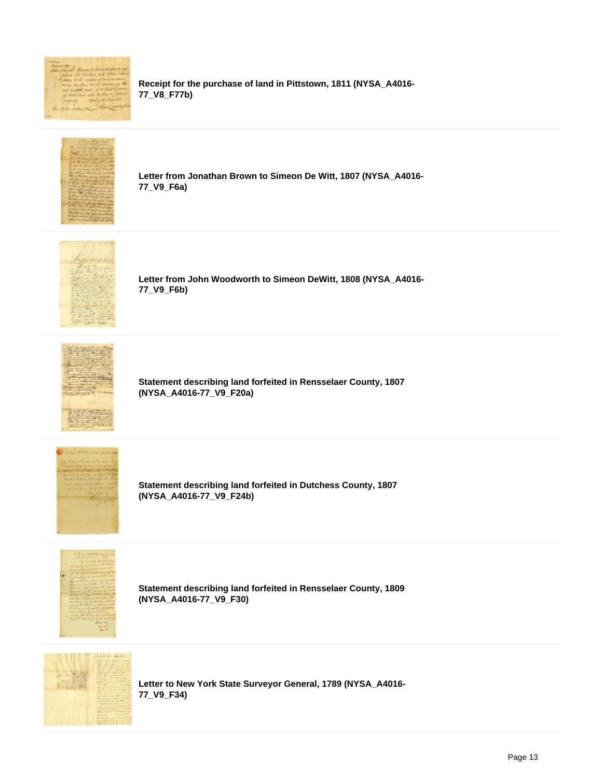

**Receipt for the purchase of land in Pittstown, 1811 (NYSA\_A4016- 77\_V8\_F77b)**



**Letter from Jonathan Brown to Simeon De Witt, 1807 (NYSA\_A4016- 77\_V9\_F6a)**



**Letter from John Woodworth to Simeon DeWitt, 1808 (NYSA\_A4016- 77\_V9\_F6b)**



**Statement describing land forfeited in Rensselaer County, 1807 (NYSA\_A4016-77\_V9\_F20a)**



**Statement describing land forfeited in Dutchess County, 1807 (NYSA\_A4016-77\_V9\_F24b)**



**Statement describing land forfeited in Rensselaer County, 1809 (NYSA\_A4016-77\_V9\_F30)**



**Letter to New York State Surveyor General, 1789 (NYSA\_A4016- 77\_V9\_F34)**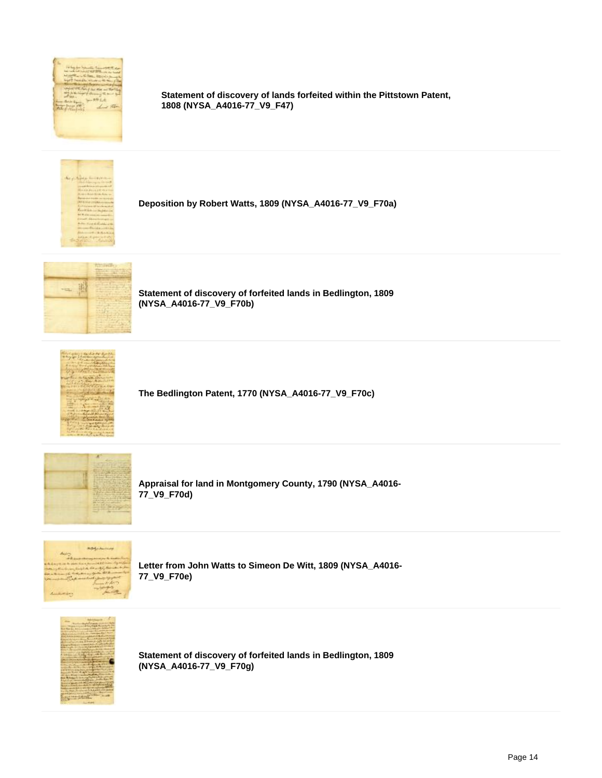

**Statement of discovery of lands forfeited within the Pittstown Patent, 1808 (NYSA\_A4016-77\_V9\_F47)**



**Deposition by Robert Watts, 1809 (NYSA\_A4016-77\_V9\_F70a)**



**Statement of discovery of forfeited lands in Bedlington, 1809 (NYSA\_A4016-77\_V9\_F70b)**



**The Bedlington Patent, 1770 (NYSA\_A4016-77\_V9\_F70c)**



**Appraisal for land in Montgomery County, 1790 (NYSA\_A4016- 77\_V9\_F70d)**



**Letter from John Watts to Simeon De Witt, 1809 (NYSA\_A4016- 77\_V9\_F70e)**



**Statement of discovery of forfeited lands in Bedlington, 1809 (NYSA\_A4016-77\_V9\_F70g)**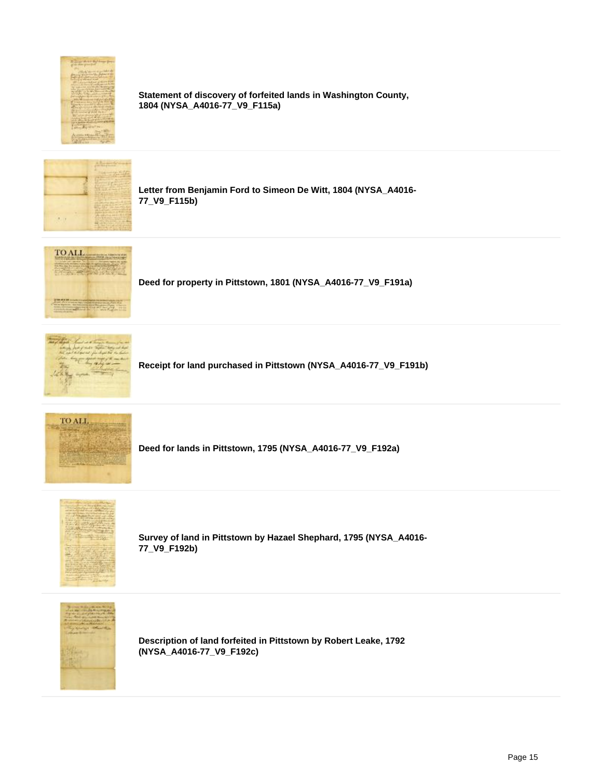

**Statement of discovery of forfeited lands in Washington County, 1804 (NYSA\_A4016-77\_V9\_F115a)**



**Letter from Benjamin Ford to Simeon De Witt, 1804 (NYSA\_A4016- 77\_V9\_F115b)**



**Deed for property in Pittstown, 1801 (NYSA\_A4016-77\_V9\_F191a)**



**Receipt for land purchased in Pittstown (NYSA\_A4016-77\_V9\_F191b)**



**Deed for lands in Pittstown, 1795 (NYSA\_A4016-77\_V9\_F192a)**



**Survey of land in Pittstown by Hazael Shephard, 1795 (NYSA\_A4016- 77\_V9\_F192b)**



**Description of land forfeited in Pittstown by Robert Leake, 1792 (NYSA\_A4016-77\_V9\_F192c)**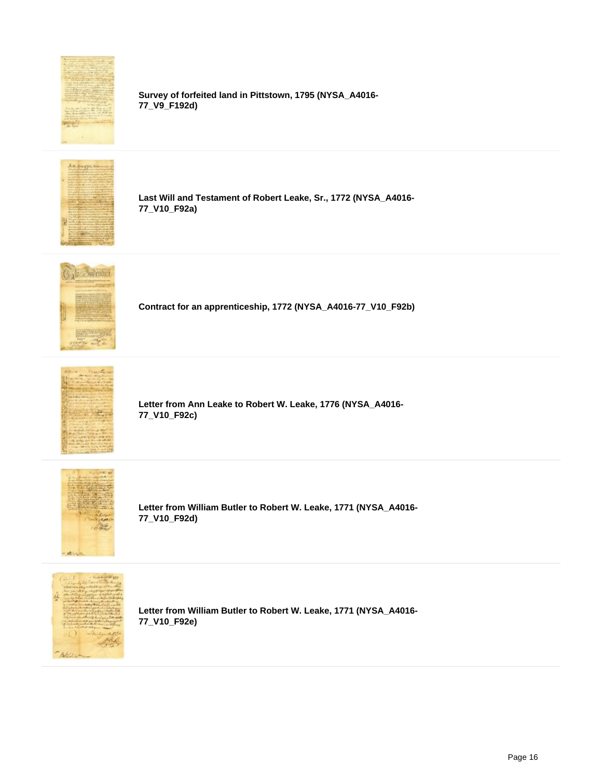

**Survey of forfeited land in Pittstown, 1795 (NYSA\_A4016- 77\_V9\_F192d)**



**Last Will and Testament of Robert Leake, Sr., 1772 (NYSA\_A4016- 77\_V10\_F92a)**



**Contract for an apprenticeship, 1772 (NYSA\_A4016-77\_V10\_F92b)**



**Letter from Ann Leake to Robert W. Leake, 1776 (NYSA\_A4016- 77\_V10\_F92c)**



**Letter from William Butler to Robert W. Leake, 1771 (NYSA\_A4016- 77\_V10\_F92d)**



**Letter from William Butler to Robert W. Leake, 1771 (NYSA\_A4016- 77\_V10\_F92e)**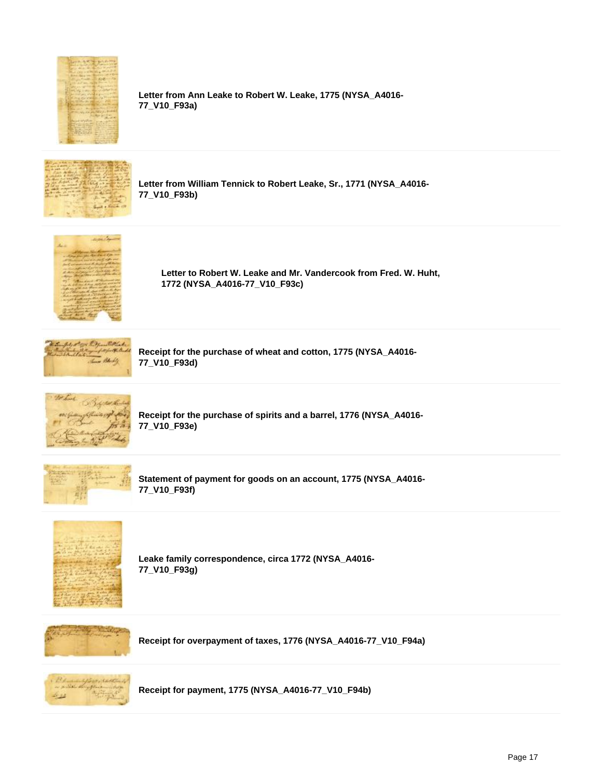

**Letter from Ann Leake to Robert W. Leake, 1775 (NYSA\_A4016- 77\_V10\_F93a)**



**Letter from William Tennick to Robert Leake, Sr., 1771 (NYSA\_A4016- 77\_V10\_F93b)**



**Letter to Robert W. Leake and Mr. Vandercook from Fred. W. Huht, 1772 (NYSA\_A4016-77\_V10\_F93c)**



**Receipt for the purchase of wheat and cotton, 1775 (NYSA\_A4016- 77\_V10\_F93d)**



**Receipt for the purchase of spirits and a barrel, 1776 (NYSA\_A4016- 77\_V10\_F93e)**



**Statement of payment for goods on an account, 1775 (NYSA\_A4016- 77\_V10\_F93f)**



**Leake family correspondence, circa 1772 (NYSA\_A4016- 77\_V10\_F93g)**



**Receipt for overpayment of taxes, 1776 (NYSA\_A4016-77\_V10\_F94a)**



**Receipt for payment, 1775 (NYSA\_A4016-77\_V10\_F94b)**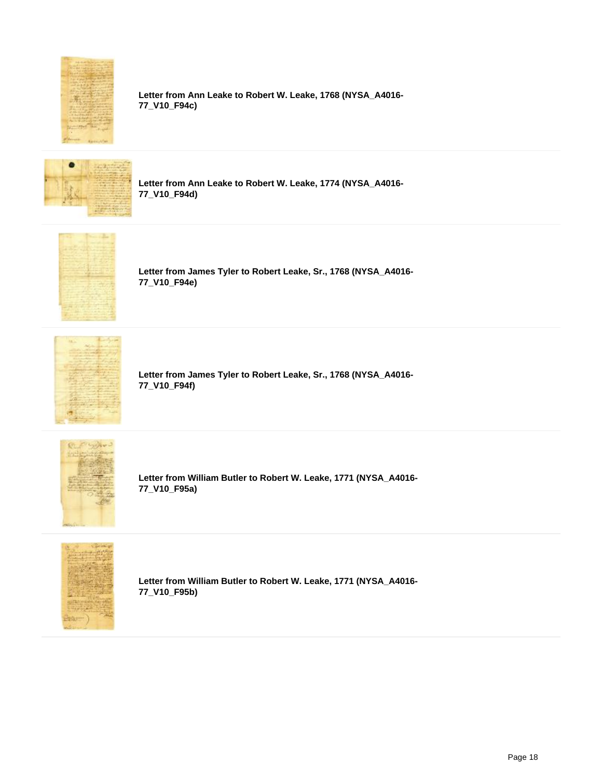

**Letter from Ann Leake to Robert W. Leake, 1768 (NYSA\_A4016- 77\_V10\_F94c)**



**Letter from Ann Leake to Robert W. Leake, 1774 (NYSA\_A4016- 77\_V10\_F94d)**



**Letter from James Tyler to Robert Leake, Sr., 1768 (NYSA\_A4016- 77\_V10\_F94e)**



**Letter from James Tyler to Robert Leake, Sr., 1768 (NYSA\_A4016- 77\_V10\_F94f)**



**Letter from William Butler to Robert W. Leake, 1771 (NYSA\_A4016- 77\_V10\_F95a)**



**Letter from William Butler to Robert W. Leake, 1771 (NYSA\_A4016- 77\_V10\_F95b)**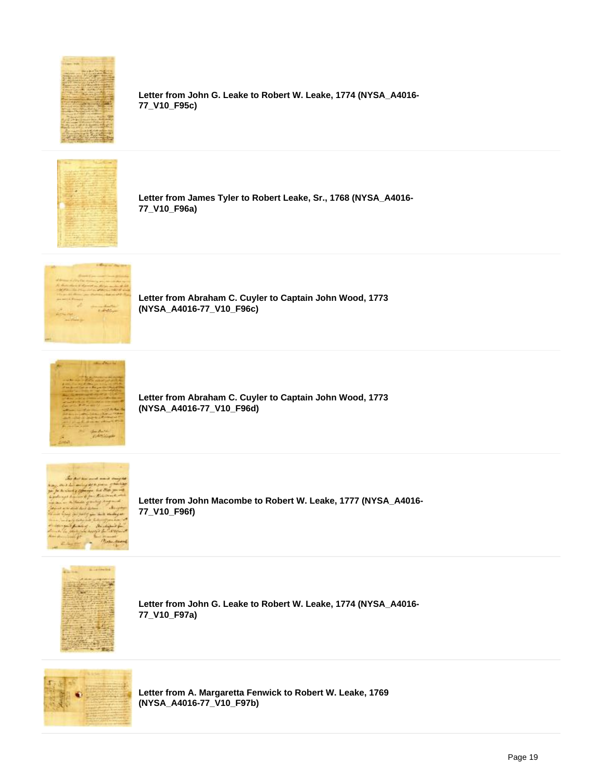

**Letter from John G. Leake to Robert W. Leake, 1774 (NYSA\_A4016- 77\_V10\_F95c)**



**Letter from James Tyler to Robert Leake, Sr., 1768 (NYSA\_A4016- 77\_V10\_F96a)**



**Letter from Abraham C. Cuyler to Captain John Wood, 1773 (NYSA\_A4016-77\_V10\_F96c)**



**Letter from Abraham C. Cuyler to Captain John Wood, 1773 (NYSA\_A4016-77\_V10\_F96d)**



**Letter from John Macombe to Robert W. Leake, 1777 (NYSA\_A4016- 77\_V10\_F96f)**



**Letter from John G. Leake to Robert W. Leake, 1774 (NYSA\_A4016- 77\_V10\_F97a)**



**Letter from A. Margaretta Fenwick to Robert W. Leake, 1769 (NYSA\_A4016-77\_V10\_F97b)**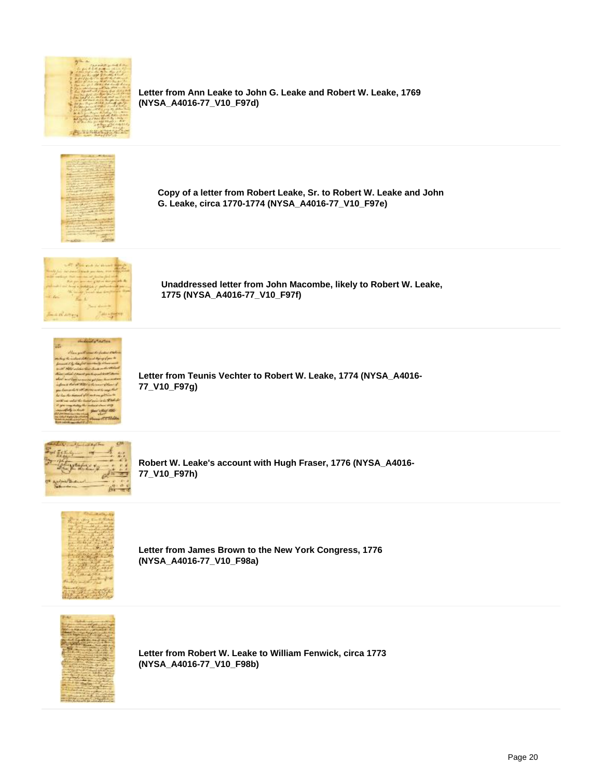

**Letter from Ann Leake to John G. Leake and Robert W. Leake, 1769 (NYSA\_A4016-77\_V10\_F97d)**



**Copy of a letter from Robert Leake, Sr. to Robert W. Leake and John G. Leake, circa 1770-1774 (NYSA\_A4016-77\_V10\_F97e)**



**Unaddressed letter from John Macombe, likely to Robert W. Leake, 1775 (NYSA\_A4016-77\_V10\_F97f)**



**Letter from Teunis Vechter to Robert W. Leake, 1774 (NYSA\_A4016- 77\_V10\_F97g)**



**Robert W. Leake's account with Hugh Fraser, 1776 (NYSA\_A4016- 77\_V10\_F97h)**



**Letter from James Brown to the New York Congress, 1776 (NYSA\_A4016-77\_V10\_F98a)**



**Letter from Robert W. Leake to William Fenwick, circa 1773 (NYSA\_A4016-77\_V10\_F98b)**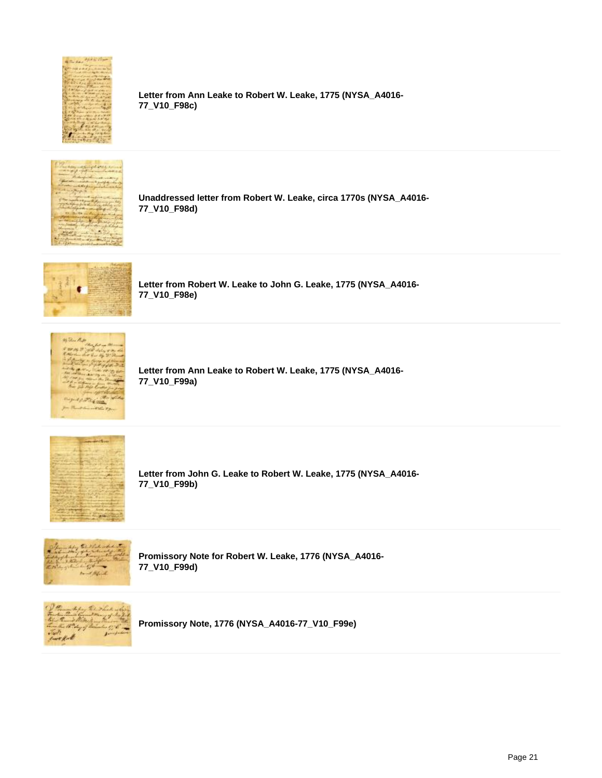

**Letter from Ann Leake to Robert W. Leake, 1775 (NYSA\_A4016- 77\_V10\_F98c)**



**Unaddressed letter from Robert W. Leake, circa 1770s (NYSA\_A4016- 77\_V10\_F98d)**



**Letter from Robert W. Leake to John G. Leake, 1775 (NYSA\_A4016- 77\_V10\_F98e)**



**Letter from Ann Leake to Robert W. Leake, 1775 (NYSA\_A4016- 77\_V10\_F99a)**



**Letter from John G. Leake to Robert W. Leake, 1775 (NYSA\_A4016- 77\_V10\_F99b)**



**Promissory Note for Robert W. Leake, 1776 (NYSA\_A4016- 77\_V10\_F99d)**



**Promissory Note, 1776 (NYSA\_A4016-77\_V10\_F99e)**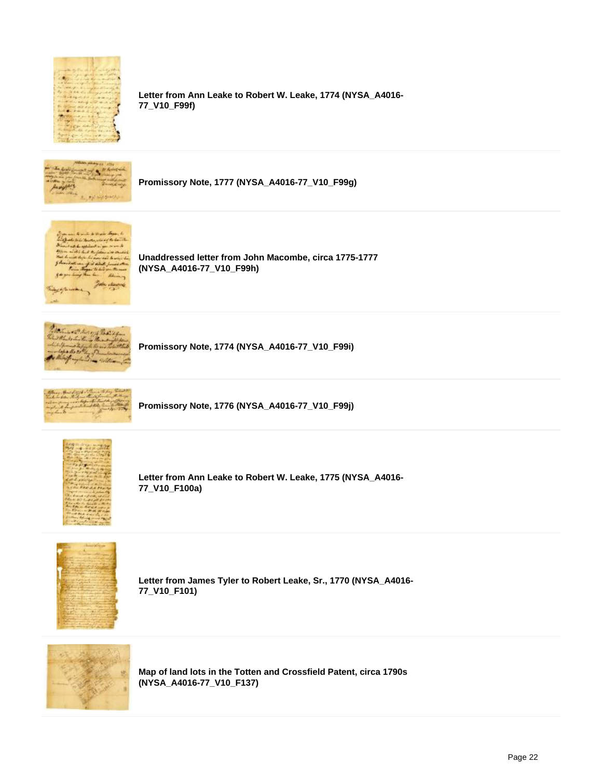

**Letter from Ann Leake to Robert W. Leake, 1774 (NYSA\_A4016- 77\_V10\_F99f)**



**Promissory Note, 1777 (NYSA\_A4016-77\_V10\_F99g)**



**Unaddressed letter from John Macombe, circa 1775-1777 (NYSA\_A4016-77\_V10\_F99h)**



**Promissory Note, 1774 (NYSA\_A4016-77\_V10\_F99i)**



**Promissory Note, 1776 (NYSA\_A4016-77\_V10\_F99j)**



**Letter from Ann Leake to Robert W. Leake, 1775 (NYSA\_A4016- 77\_V10\_F100a)**



**Letter from James Tyler to Robert Leake, Sr., 1770 (NYSA\_A4016- 77\_V10\_F101)**



**Map of land lots in the Totten and Crossfield Patent, circa 1790s (NYSA\_A4016-77\_V10\_F137)**